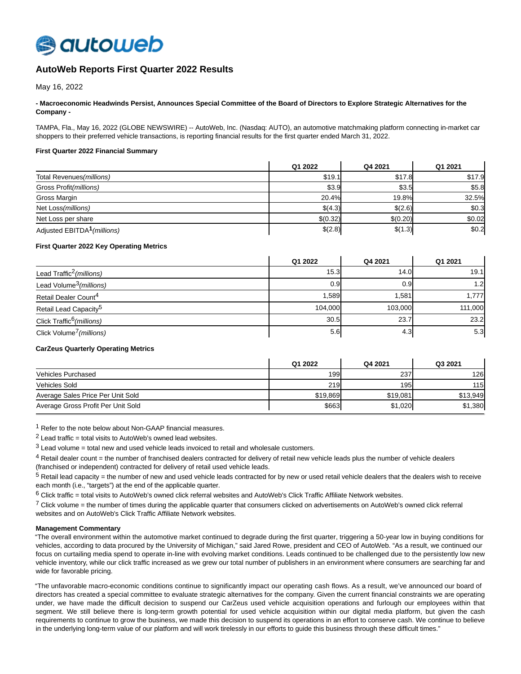

# **AutoWeb Reports First Quarter 2022 Results**

May 16, 2022

## **- Macroeconomic Headwinds Persist, Announces Special Committee of the Board of Directors to Explore Strategic Alternatives for the Company -**

TAMPA, Fla., May 16, 2022 (GLOBE NEWSWIRE) -- AutoWeb, Inc. (Nasdaq: AUTO), an automotive matchmaking platform connecting in-market car shoppers to their preferred vehicle transactions, is reporting financial results for the first quarter ended March 31, 2022.

## **First Quarter 2022 Financial Summary**

|                                         | Q1 2022  | Q4 2021      | Q1 2021 |
|-----------------------------------------|----------|--------------|---------|
| Total Revenues (millions)               | \$19.1   | \$17.8       | \$17.9  |
| Gross Profit(millions)                  | \$3.9    | \$3.5        | \$5.8   |
| Gross Margin                            | 20.4%    | <b>19.8%</b> | 32.5%   |
| Net Loss (millions)                     | \$(4.3)  | \$(2.6)      | \$0.3   |
| Net Loss per share                      | \$(0.32) | \$(0.20)     | \$0.02  |
| Adjusted EBITDA <sup>1</sup> (millions) | \$(2.8)  | \$(1.3)      | \$0.2   |

#### **First Quarter 2022 Key Operating Metrics**

|                                       | Q1 2022 | Q4 2021 | Q1 2021          |
|---------------------------------------|---------|---------|------------------|
| Lead Traffic <sup>2</sup> (millions)  | 15.3    | 14.0    | 19.1             |
| Lead Volume <sup>3</sup> (millions)   | 0.9     | 0.9     | 1.2 <sub>l</sub> |
| Retail Dealer Count <sup>4</sup>      | 1,589   | 1,581   | 1,777            |
| Retail Lead Capacity <sup>5</sup>     | 104.000 | 103.000 | 111,000          |
| Click Traffic <sup>6</sup> (millions) | 30.5    | 23.7    | 23.2             |
| Click Volume <sup>7</sup> (millions)  | 5.6     | 4.3     | 5.3              |

#### **CarZeus Quarterly Operating Metrics**

|                                    | Q1 2022  | Q4 2021  | Q3 2021  |
|------------------------------------|----------|----------|----------|
| <b>Vehicles Purchased</b>          | 199      | 237      | 126      |
| Vehicles Sold                      | 219      | 195      | 115      |
| Average Sales Price Per Unit Sold  | \$19,869 | \$19,081 | \$13,949 |
| Average Gross Profit Per Unit Sold | \$663    | \$1,020  | \$1,380  |

1 Refer to the note below about Non-GAAP financial measures.

 $2$  Lead traffic = total visits to AutoWeb's owned lead websites.

 $3$  Lead volume = total new and used vehicle leads invoiced to retail and wholesale customers.

<sup>4</sup> Retail dealer count = the number of franchised dealers contracted for delivery of retail new vehicle leads plus the number of vehicle dealers (franchised or independent) contracted for delivery of retail used vehicle leads.

 $5$  Retail lead capacity = the number of new and used vehicle leads contracted for by new or used retail vehicle dealers that the dealers wish to receive each month (i.e., "targets") at the end of the applicable quarter.

 $6$  Click traffic = total visits to AutoWeb's owned click referral websites and AutoWeb's Click Traffic Affiliate Network websites.

 $7$  Click volume = the number of times during the applicable quarter that consumers clicked on advertisements on AutoWeb's owned click referral websites and on AutoWeb's Click Traffic Affiliate Network websites.

## **Management Commentary**

"The overall environment within the automotive market continued to degrade during the first quarter, triggering a 50-year low in buying conditions for vehicles, according to data procured by the University of Michigan," said Jared Rowe, president and CEO of AutoWeb. "As a result, we continued our focus on curtailing media spend to operate in-line with evolving market conditions. Leads continued to be challenged due to the persistently low new vehicle inventory, while our click traffic increased as we grew our total number of publishers in an environment where consumers are searching far and wide for favorable pricing.

"The unfavorable macro-economic conditions continue to significantly impact our operating cash flows. As a result, we've announced our board of directors has created a special committee to evaluate strategic alternatives for the company. Given the current financial constraints we are operating under, we have made the difficult decision to suspend our CarZeus used vehicle acquisition operations and furlough our employees within that segment. We still believe there is long-term growth potential for used vehicle acquisition within our digital media platform, but given the cash requirements to continue to grow the business, we made this decision to suspend its operations in an effort to conserve cash. We continue to believe in the underlying long-term value of our platform and will work tirelessly in our efforts to guide this business through these difficult times."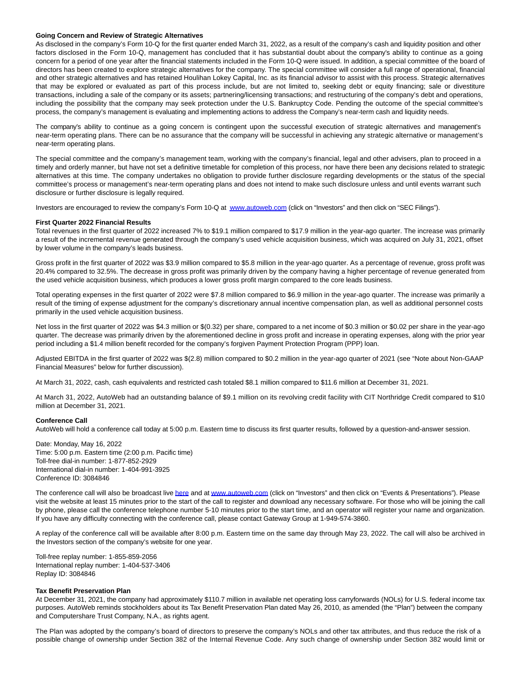#### **Going Concern and Review of Strategic Alternatives**

As disclosed in the company's Form 10-Q for the first quarter ended March 31, 2022, as a result of the company's cash and liquidity position and other factors disclosed in the Form 10-Q, management has concluded that it has substantial doubt about the company's ability to continue as a going concern for a period of one year after the financial statements included in the Form 10-Q were issued. In addition, a special committee of the board of directors has been created to explore strategic alternatives for the company. The special committee will consider a full range of operational, financial and other strategic alternatives and has retained Houlihan Lokey Capital, Inc. as its financial advisor to assist with this process. Strategic alternatives that may be explored or evaluated as part of this process include, but are not limited to, seeking debt or equity financing; sale or divestiture transactions, including a sale of the company or its assets; partnering/licensing transactions; and restructuring of the company's debt and operations, including the possibility that the company may seek protection under the U.S. Bankruptcy Code. Pending the outcome of the special committee's process, the company's management is evaluating and implementing actions to address the Company's near-term cash and liquidity needs.

The company's ability to continue as a going concern is contingent upon the successful execution of strategic alternatives and management's near-term operating plans. There can be no assurance that the company will be successful in achieving any strategic alternative or management's near-term operating plans.

The special committee and the company's management team, working with the company's financial, legal and other advisers, plan to proceed in a timely and orderly manner, but have not set a definitive timetable for completion of this process, nor have there been any decisions related to strategic alternatives at this time. The company undertakes no obligation to provide further disclosure regarding developments or the status of the special committee's process or management's near-term operating plans and does not intend to make such disclosure unless and until events warrant such disclosure or further disclosure is legally required.

Investors are encouraged to review the company's Form 10-Q at [www.autoweb.com \(](https://www.globenewswire.com/Tracker?data=C3A7qaz1R4a9uvXiFbu9b8ct6hlwaJjOTCu8YdvMPzTHilPXvVfyxysiaZC94fwaSoWeDm2REKyFJeqpBHxgzA==)click on "Investors" and then click on "SEC Filings").

#### **First Quarter 2022 Financial Results**

Total revenues in the first quarter of 2022 increased 7% to \$19.1 million compared to \$17.9 million in the year-ago quarter. The increase was primarily a result of the incremental revenue generated through the company's used vehicle acquisition business, which was acquired on July 31, 2021, offset by lower volume in the company's leads business.

Gross profit in the first quarter of 2022 was \$3.9 million compared to \$5.8 million in the year-ago quarter. As a percentage of revenue, gross profit was 20.4% compared to 32.5%. The decrease in gross profit was primarily driven by the company having a higher percentage of revenue generated from the used vehicle acquisition business, which produces a lower gross profit margin compared to the core leads business.

Total operating expenses in the first quarter of 2022 were \$7.8 million compared to \$6.9 million in the year-ago quarter. The increase was primarily a result of the timing of expense adjustment for the company's discretionary annual incentive compensation plan, as well as additional personnel costs primarily in the used vehicle acquisition business.

Net loss in the first quarter of 2022 was \$4.3 million or \$(0.32) per share, compared to a net income of \$0.3 million or \$0.02 per share in the year-ago quarter. The decrease was primarily driven by the aforementioned decline in gross profit and increase in operating expenses, along with the prior year period including a \$1.4 million benefit recorded for the company's forgiven Payment Protection Program (PPP) loan.

Adjusted EBITDA in the first quarter of 2022 was \$(2.8) million compared to \$0.2 million in the year-ago quarter of 2021 (see "Note about Non-GAAP Financial Measures" below for further discussion).

At March 31, 2022, cash, cash equivalents and restricted cash totaled \$8.1 million compared to \$11.6 million at December 31, 2021.

At March 31, 2022, AutoWeb had an outstanding balance of \$9.1 million on its revolving credit facility with CIT Northridge Credit compared to \$10 million at December 31, 2021.

## **Conference Call**

AutoWeb will hold a conference call today at 5:00 p.m. Eastern time to discuss its first quarter results, followed by a question-and-answer session.

Date: Monday, May 16, 2022 Time: 5:00 p.m. Eastern time (2:00 p.m. Pacific time) Toll-free dial-in number: 1-877-852-2929 International dial-in number: 1-404-991-3925 Conference ID: 3084846

The conference call will also be broadcast live [here a](https://www.globenewswire.com/Tracker?data=vLbQ5pgO_dyNghKMuCNxheC16ZxR82UX1noxdO7HAfDyY1EiXUP1ZknZHmPx2H-7_QqTANHpeNCOBhl2ZxE1wU19pjhd4wkAtMAQ-g8-UIc=)nd a[t www.autoweb.com \(](https://www.globenewswire.com/Tracker?data=C3A7qaz1R4a9uvXiFbu9b0kRGSJA1lC7-QbUR_OtyzoOZFAnjPQo5CPvxvCpyE_CxvaLvwuXFaIPq8xkz5tYRg==)click on "Investors" and then click on "Events & Presentations"). Please visit the website at least 15 minutes prior to the start of the call to register and download any necessary software. For those who will be joining the call by phone, please call the conference telephone number 5-10 minutes prior to the start time, and an operator will register your name and organization. If you have any difficulty connecting with the conference call, please contact Gateway Group at 1-949-574-3860.

A replay of the conference call will be available after 8:00 p.m. Eastern time on the same day through May 23, 2022. The call will also be archived in the Investors section of the company's website for one year.

Toll-free replay number: 1-855-859-2056 International replay number: 1-404-537-3406 Replay ID: 3084846

#### **Tax Benefit Preservation Plan**

At December 31, 2021, the company had approximately \$110.7 million in available net operating loss carryforwards (NOLs) for U.S. federal income tax purposes. AutoWeb reminds stockholders about its Tax Benefit Preservation Plan dated May 26, 2010, as amended (the "Plan") between the company and Computershare Trust Company, N.A., as rights agent.

The Plan was adopted by the company's board of directors to preserve the company's NOLs and other tax attributes, and thus reduce the risk of a possible change of ownership under Section 382 of the Internal Revenue Code. Any such change of ownership under Section 382 would limit or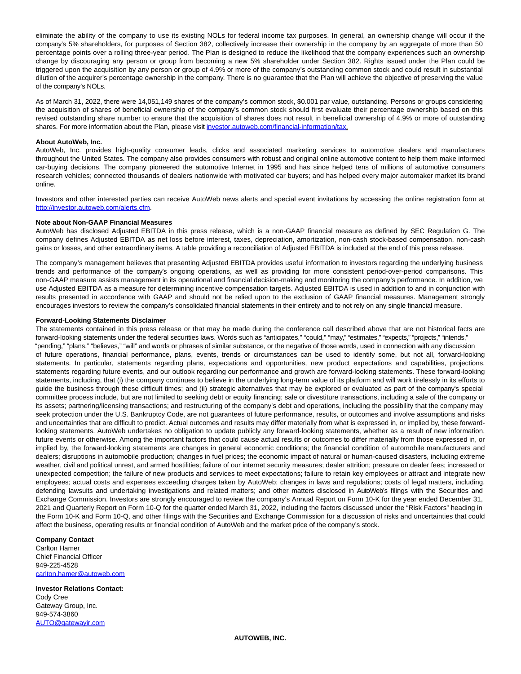eliminate the ability of the company to use its existing NOLs for federal income tax purposes. In general, an ownership change will occur if the company's 5% shareholders, for purposes of Section 382, collectively increase their ownership in the company by an aggregate of more than 50 percentage points over a rolling three-year period. The Plan is designed to reduce the likelihood that the company experiences such an ownership change by discouraging any person or group from becoming a new 5% shareholder under Section 382. Rights issued under the Plan could be triggered upon the acquisition by any person or group of 4.9% or more of the company's outstanding common stock and could result in substantial dilution of the acquirer's percentage ownership in the company. There is no guarantee that the Plan will achieve the objective of preserving the value of the company's NOLs.

As of March 31, 2022, there were 14,051,149 shares of the company's common stock, \$0.001 par value, outstanding. Persons or groups considering the acquisition of shares of beneficial ownership of the company's common stock should first evaluate their percentage ownership based on this revised outstanding share number to ensure that the acquisition of shares does not result in beneficial ownership of 4.9% or more of outstanding shares. For more information about the Plan, please visit [investor.autoweb.com/financial-information/tax.](https://www.globenewswire.com/Tracker?data=OeIgOyxN3-ZWO7RUzxbhToUPNbLKBhlALiObRczlkiLfTCZdmaogpcu3sw0-suxD9SJKMDAC51tke4LaKrlRX48_YZ7I6wdx7YXS_U3MXUWs25sOfEoWC0-alH-CqD1JU33szqjl98Oegn605AOWIMnblIgpYNK__yNWwGnbQC4=)

#### **About AutoWeb, Inc.**

AutoWeb, Inc. provides high-quality consumer leads, clicks and associated marketing services to automotive dealers and manufacturers throughout the United States. The company also provides consumers with robust and original online automotive content to help them make informed car-buying decisions. The company pioneered the automotive Internet in 1995 and has since helped tens of millions of automotive consumers research vehicles; connected thousands of dealers nationwide with motivated car buyers; and has helped every major automaker market its brand online.

Investors and other interested parties can receive AutoWeb news alerts and special event invitations by accessing the online registration form at [http://investor.autoweb.com/alerts.cfm.](https://www.globenewswire.com/Tracker?data=gQ9qKMbbpmlAf92_6ngC2LX8iuUCT5EJ_obVZm8Sho6NfC17SUxwhYaFPTvoSNIYFbTBOLxvIJm79zW4ME1dAMuifrlcDz-rg6Vf7cjQmlth8DXkCyxPVUgQJikWA6HVJl6T8zot9DqKvNXiYjgOjQ==)

#### **Note about Non-GAAP Financial Measures**

AutoWeb has disclosed Adjusted EBITDA in this press release, which is a non-GAAP financial measure as defined by SEC Regulation G. The company defines Adjusted EBITDA as net loss before interest, taxes, depreciation, amortization, non-cash stock-based compensation, non-cash gains or losses, and other extraordinary items. A table providing a reconciliation of Adjusted EBITDA is included at the end of this press release.

The company's management believes that presenting Adjusted EBITDA provides useful information to investors regarding the underlying business trends and performance of the company's ongoing operations, as well as providing for more consistent period-over-period comparisons. This non-GAAP measure assists management in its operational and financial decision-making and monitoring the company's performance. In addition, we use Adjusted EBITDA as a measure for determining incentive compensation targets. Adjusted EBITDA is used in addition to and in conjunction with results presented in accordance with GAAP and should not be relied upon to the exclusion of GAAP financial measures. Management strongly encourages investors to review the company's consolidated financial statements in their entirety and to not rely on any single financial measure.

#### **Forward-Looking Statements Disclaimer**

The statements contained in this press release or that may be made during the conference call described above that are not historical facts are forward-looking statements under the federal securities laws. Words such as "anticipates," "could," "may," "estimates," "expects," "projects," "intends," "pending," "plans," "believes," "will" and words or phrases of similar substance, or the negative of those words, used in connection with any discussion of future operations, financial performance, plans, events, trends or circumstances can be used to identify some, but not all, forward-looking statements. In particular, statements regarding plans, expectations and opportunities, new product expectations and capabilities, projections, statements regarding future events, and our outlook regarding our performance and growth are forward-looking statements. These forward-looking statements, including, that (i) the company continues to believe in the underlying long-term value of its platform and will work tirelessly in its efforts to guide the business through these difficult times; and (ii) strategic alternatives that may be explored or evaluated as part of the company's special committee process include, but are not limited to seeking debt or equity financing; sale or divestiture transactions, including a sale of the company or its assets; partnering/licensing transactions; and restructuring of the company's debt and operations, including the possibility that the company may seek protection under the U.S. Bankruptcy Code, are not guarantees of future performance, results, or outcomes and involve assumptions and risks and uncertainties that are difficult to predict. Actual outcomes and results may differ materially from what is expressed in, or implied by, these forwardlooking statements. AutoWeb undertakes no obligation to update publicly any forward-looking statements, whether as a result of new information, future events or otherwise. Among the important factors that could cause actual results or outcomes to differ materially from those expressed in, or implied by, the forward-looking statements are changes in general economic conditions; the financial condition of automobile manufacturers and dealers; disruptions in automobile production; changes in fuel prices; the economic impact of natural or human-caused disasters, including extreme weather, civil and political unrest, and armed hostilities; failure of our internet security measures; dealer attrition; pressure on dealer fees; increased or unexpected competition; the failure of new products and services to meet expectations; failure to retain key employees or attract and integrate new employees; actual costs and expenses exceeding charges taken by AutoWeb; changes in laws and regulations; costs of legal matters, including, defending lawsuits and undertaking investigations and related matters; and other matters disclosed in AutoWeb's filings with the Securities and Exchange Commission. Investors are strongly encouraged to review the company's Annual Report on Form 10-K for the year ended December 31, 2021 and Quarterly Report on Form 10-Q for the quarter ended March 31, 2022, including the factors discussed under the "Risk Factors" heading in the Form 10-K and Form 10-Q, and other filings with the Securities and Exchange Commission for a discussion of risks and uncertainties that could affect the business, operating results or financial condition of AutoWeb and the market price of the company's stock.

#### **Company Contact**

Carlton Hamer Chief Financial Officer 949-225-4528 [carlton.hamer@autoweb.com](https://www.globenewswire.com/Tracker?data=Iw-VAM9ikMbeTBj9nJQDUbAEVNnmqEVt7dkYiHnzOCJs7eDOh9C_rEt38b0KojFX2gD02xOxTn_89wi-uWMq2LIf24St1GdjNOVGaWg5vE0=)

**Investor Relations Contact:** Cody Cree Gateway Group, Inc. 949-574-3860 [AUTO@gatewayir.com](https://www.globenewswire.com/Tracker?data=w6Lq1I2T1DlxnI06yejk0HOCp5ARxV2gqybZwn-RtBkhG6FyqvnnAwJSeLiNx9a_0bsKB-H3Qgngs1LYcaDA_-dgDypYU0k9b6JQ3LIDF0A=)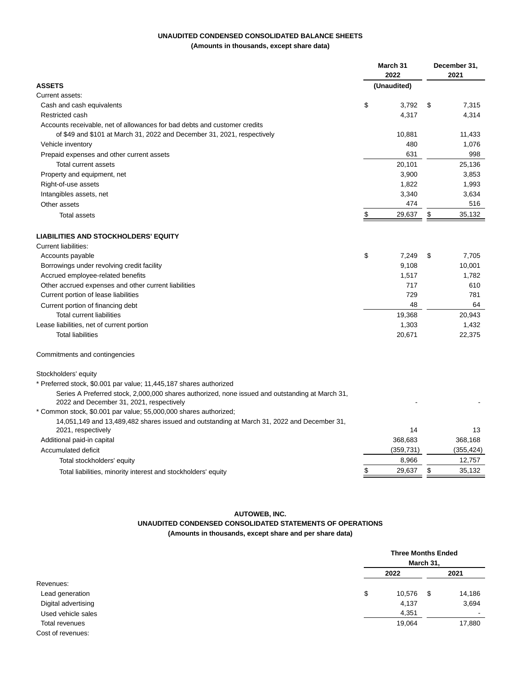## **UNAUDITED CONDENSED CONSOLIDATED BALANCE SHEETS**

**(Amounts in thousands, except share data)**

|                                                                                                                                             |    | March 31<br>2022 |    | December 31,<br>2021 |  |
|---------------------------------------------------------------------------------------------------------------------------------------------|----|------------------|----|----------------------|--|
| <b>ASSETS</b>                                                                                                                               |    | (Unaudited)      |    |                      |  |
| Current assets:                                                                                                                             |    |                  |    |                      |  |
| Cash and cash equivalents                                                                                                                   | \$ | 3.792            | \$ | 7,315                |  |
| Restricted cash                                                                                                                             |    | 4,317            |    | 4,314                |  |
| Accounts receivable, net of allowances for bad debts and customer credits                                                                   |    |                  |    |                      |  |
| of \$49 and \$101 at March 31, 2022 and December 31, 2021, respectively                                                                     |    | 10,881           |    | 11,433               |  |
| Vehicle inventory                                                                                                                           |    | 480              |    | 1,076                |  |
| Prepaid expenses and other current assets                                                                                                   |    | 631              |    | 998                  |  |
| Total current assets                                                                                                                        |    | 20,101           |    | 25,136               |  |
| Property and equipment, net                                                                                                                 |    | 3,900            |    | 3,853                |  |
| Right-of-use assets                                                                                                                         |    | 1,822            |    | 1,993                |  |
| Intangibles assets, net                                                                                                                     |    | 3,340            |    | 3,634                |  |
| Other assets                                                                                                                                |    | 474              |    | 516                  |  |
| <b>Total assets</b>                                                                                                                         | \$ | 29,637           | \$ | 35,132               |  |
| <b>LIABILITIES AND STOCKHOLDERS' EQUITY</b>                                                                                                 |    |                  |    |                      |  |
| Current liabilities:                                                                                                                        |    |                  |    |                      |  |
| Accounts payable                                                                                                                            | \$ | 7,249            | \$ | 7,705                |  |
| Borrowings under revolving credit facility                                                                                                  |    | 9,108            |    | 10,001               |  |
| Accrued employee-related benefits                                                                                                           |    | 1,517            |    | 1,782                |  |
| Other accrued expenses and other current liabilities                                                                                        |    | 717              |    | 610                  |  |
| Current portion of lease liabilities                                                                                                        |    | 729              |    | 781                  |  |
| Current portion of financing debt                                                                                                           |    | 48               |    | 64                   |  |
| Total current liabilities                                                                                                                   |    | 19,368           |    | 20,943               |  |
| Lease liabilities, net of current portion                                                                                                   |    | 1,303            |    | 1,432                |  |
| <b>Total liabilities</b>                                                                                                                    |    | 20,671           |    | 22,375               |  |
| Commitments and contingencies                                                                                                               |    |                  |    |                      |  |
| Stockholders' equity                                                                                                                        |    |                  |    |                      |  |
| * Preferred stock, \$0.001 par value; 11,445,187 shares authorized                                                                          |    |                  |    |                      |  |
| Series A Preferred stock, 2,000,000 shares authorized, none issued and outstanding at March 31,<br>2022 and December 31, 2021, respectively |    |                  |    |                      |  |
| * Common stock, \$0.001 par value; 55,000,000 shares authorized;                                                                            |    |                  |    |                      |  |
| 14,051,149 and 13,489,482 shares issued and outstanding at March 31, 2022 and December 31,<br>2021, respectively                            |    | 14               |    | 13                   |  |
| Additional paid-in capital                                                                                                                  |    | 368,683          |    | 368,168              |  |
| Accumulated deficit                                                                                                                         |    | (359, 731)       |    | (355, 424)           |  |
| Total stockholders' equity                                                                                                                  |    | 8,966            |    | 12,757               |  |
| Total liabilities, minority interest and stockholders' equity                                                                               | \$ | 29,637           | \$ | 35,132               |  |
|                                                                                                                                             |    |                  |    |                      |  |

# **AUTOWEB, INC.**

# **UNAUDITED CONDENSED CONSOLIDATED STATEMENTS OF OPERATIONS**

**(Amounts in thousands, except share and per share data)**

|                     | <b>Three Months Ended</b><br>March 31, |   |                          |
|---------------------|----------------------------------------|---|--------------------------|
|                     | 2022                                   |   | 2021                     |
| Revenues:           |                                        |   |                          |
| Lead generation     | \$<br>10,576                           | S | 14,186                   |
| Digital advertising | 4,137                                  |   | 3,694                    |
| Used vehicle sales  | 4,351                                  |   | $\overline{\phantom{a}}$ |
| Total revenues      | 19,064                                 |   | 17,880                   |
| Cost of revenues:   |                                        |   |                          |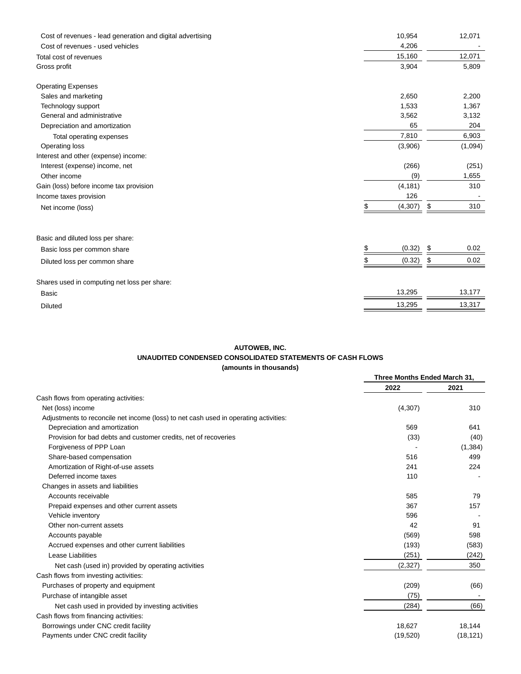| Cost of revenues - lead generation and digital advertising<br>Cost of revenues - used vehicles | 10,954<br>4,206 | 12,071     |
|------------------------------------------------------------------------------------------------|-----------------|------------|
| Total cost of revenues                                                                         | 15,160          | 12,071     |
| Gross profit                                                                                   | 3,904           | 5,809      |
| <b>Operating Expenses</b>                                                                      |                 |            |
| Sales and marketing                                                                            | 2,650           | 2,200      |
| Technology support                                                                             | 1,533           | 1,367      |
| General and administrative                                                                     | 3,562           | 3,132      |
| Depreciation and amortization                                                                  | 65              | 204        |
| Total operating expenses                                                                       | 7,810           | 6,903      |
| Operating loss                                                                                 | (3,906)         | (1,094)    |
| Interest and other (expense) income:                                                           |                 |            |
| Interest (expense) income, net                                                                 | (266)           | (251)      |
| Other income                                                                                   | (9)             | 1,655      |
| Gain (loss) before income tax provision                                                        | (4, 181)        | 310        |
| Income taxes provision                                                                         | 126             |            |
| Net income (loss)                                                                              | (4, 307)<br>\$  | 310<br>\$  |
|                                                                                                |                 |            |
| Basic and diluted loss per share:                                                              |                 |            |
| Basic loss per common share                                                                    | (0.32)<br>\$    | 0.02<br>\$ |
| Diluted loss per common share                                                                  | \$<br>(0.32)    | 0.02<br>\$ |
| Shares used in computing net loss per share:                                                   |                 |            |
| Basic                                                                                          | 13,295          | 13,177     |
| <b>Diluted</b>                                                                                 | 13,295          | 13,317     |
|                                                                                                |                 |            |

# **AUTOWEB, INC.**

# **UNAUDITED CONDENSED CONSOLIDATED STATEMENTS OF CASH FLOWS**

**(amounts in thousands)**

|                                                                                      | Three Months Ended March 31, |           |  |
|--------------------------------------------------------------------------------------|------------------------------|-----------|--|
|                                                                                      | 2022                         | 2021      |  |
| Cash flows from operating activities:                                                |                              |           |  |
| Net (loss) income                                                                    | (4,307)                      | 310       |  |
| Adjustments to reconcile net income (loss) to net cash used in operating activities: |                              |           |  |
| Depreciation and amortization                                                        | 569                          | 641       |  |
| Provision for bad debts and customer credits, net of recoveries                      | (33)                         | (40)      |  |
| Forgiveness of PPP Loan                                                              |                              | (1, 384)  |  |
| Share-based compensation                                                             | 516                          | 499       |  |
| Amortization of Right-of-use assets                                                  | 241                          | 224       |  |
| Deferred income taxes                                                                | 110                          |           |  |
| Changes in assets and liabilities                                                    |                              |           |  |
| Accounts receivable                                                                  | 585                          | 79        |  |
| Prepaid expenses and other current assets                                            | 367                          | 157       |  |
| Vehicle inventory                                                                    | 596                          |           |  |
| Other non-current assets                                                             | 42                           | 91        |  |
| Accounts payable                                                                     | (569)                        | 598       |  |
| Accrued expenses and other current liabilities                                       | (193)                        | (583)     |  |
| Lease Liabilities                                                                    | (251)                        | (242)     |  |
| Net cash (used in) provided by operating activities                                  | (2, 327)                     | 350       |  |
| Cash flows from investing activities:                                                |                              |           |  |
| Purchases of property and equipment                                                  | (209)                        | (66)      |  |
| Purchase of intangible asset                                                         | (75)                         |           |  |
| Net cash used in provided by investing activities                                    | (284)                        | (66)      |  |
| Cash flows from financing activities:                                                |                              |           |  |
| Borrowings under CNC credit facility                                                 | 18,627                       | 18,144    |  |
| Payments under CNC credit facility                                                   | (19, 520)                    | (18, 121) |  |
|                                                                                      |                              |           |  |